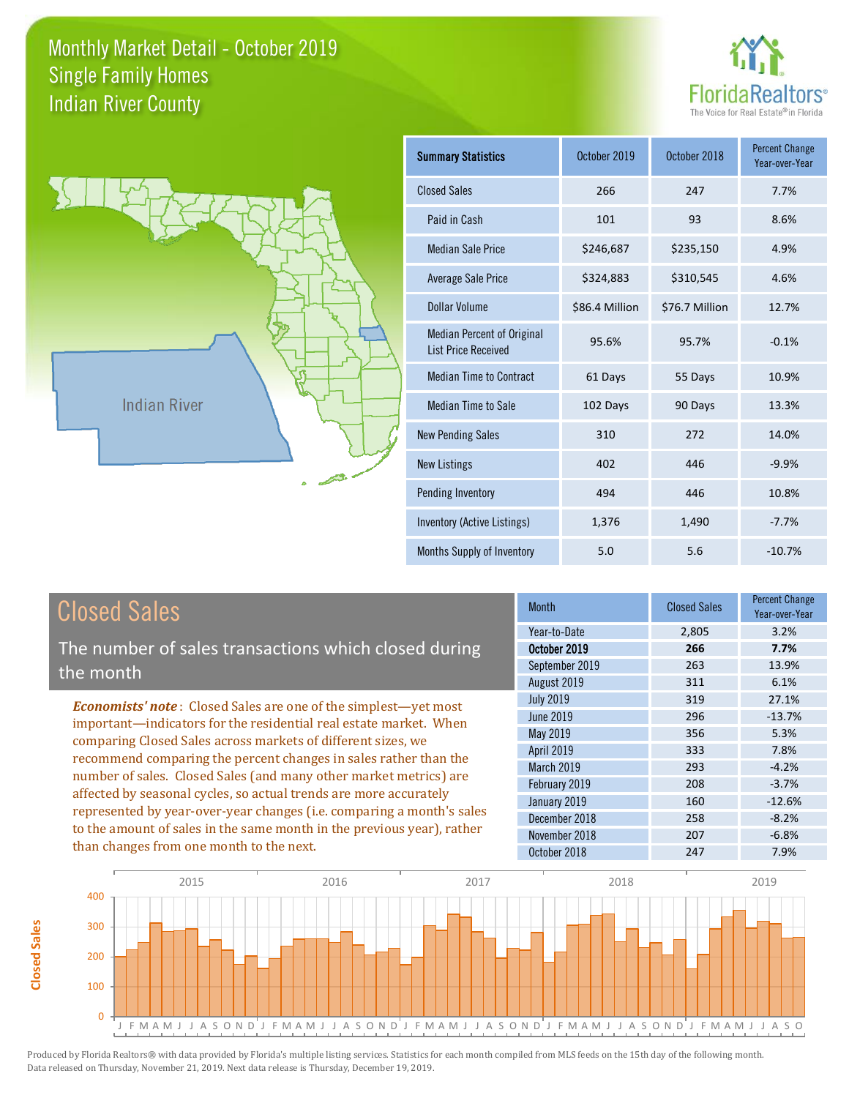



**Closed Sales**

**Closed Sales** 

| <b>Summary Statistics</b>                                       | October 2019   | October 2018   | <b>Percent Change</b><br>Year-over-Year |
|-----------------------------------------------------------------|----------------|----------------|-----------------------------------------|
| <b>Closed Sales</b>                                             | 266            | 247            | 7.7%                                    |
| Paid in Cash                                                    | 101            | 93             | 8.6%                                    |
| <b>Median Sale Price</b>                                        | \$246,687      | \$235,150      | 4.9%                                    |
| <b>Average Sale Price</b>                                       | \$324,883      | \$310,545      | 4.6%                                    |
| <b>Dollar Volume</b>                                            | \$86.4 Million | \$76.7 Million | 12.7%                                   |
| <b>Median Percent of Original</b><br><b>List Price Received</b> | 95.6%          | 95.7%          | $-0.1%$                                 |
| <b>Median Time to Contract</b>                                  | 61 Days        | 55 Days        | 10.9%                                   |
| Median Time to Sale                                             | 102 Days       | 90 Days        | 13.3%                                   |
| <b>New Pending Sales</b>                                        | 310            | 272            | 14.0%                                   |
| <b>New Listings</b>                                             | 402            | 446            | $-9.9%$                                 |
| Pending Inventory                                               | 494            | 446            | 10.8%                                   |
| <b>Inventory (Active Listings)</b>                              | 1,376          | 1,490          | $-7.7%$                                 |
| Months Supply of Inventory                                      | 5.0            | 5.6            | $-10.7%$                                |

| <b>Closed Sales</b>                                                                                                                                                                                                                                                                                                                                                                                       | <b>Month</b>      | <b>Closed Sales</b> | <b>Percent Change</b><br>Year-over-Year |
|-----------------------------------------------------------------------------------------------------------------------------------------------------------------------------------------------------------------------------------------------------------------------------------------------------------------------------------------------------------------------------------------------------------|-------------------|---------------------|-----------------------------------------|
|                                                                                                                                                                                                                                                                                                                                                                                                           | Year-to-Date      | 2,805               | 3.2%                                    |
| The number of sales transactions which closed during                                                                                                                                                                                                                                                                                                                                                      | October 2019      | 266                 | 7.7%                                    |
| the month                                                                                                                                                                                                                                                                                                                                                                                                 | September 2019    | 263                 | 13.9%                                   |
|                                                                                                                                                                                                                                                                                                                                                                                                           | August 2019       | 311                 | 6.1%                                    |
| <b>Economists' note:</b> Closed Sales are one of the simplest—yet most                                                                                                                                                                                                                                                                                                                                    | <b>July 2019</b>  | 319                 | 27.1%                                   |
| important—indicators for the residential real estate market. When                                                                                                                                                                                                                                                                                                                                         | <b>June 2019</b>  | 296                 | $-13.7%$                                |
| comparing Closed Sales across markets of different sizes, we                                                                                                                                                                                                                                                                                                                                              | May 2019          | 356                 | 5.3%                                    |
| recommend comparing the percent changes in sales rather than the<br>number of sales. Closed Sales (and many other market metrics) are<br>affected by seasonal cycles, so actual trends are more accurately<br>represented by year-over-year changes (i.e. comparing a month's sales<br>to the amount of sales in the same month in the previous year), rather<br>than changes from one month to the next. | <b>April 2019</b> | 333                 | 7.8%                                    |
|                                                                                                                                                                                                                                                                                                                                                                                                           | March 2019        | 293                 | $-4.2%$                                 |
|                                                                                                                                                                                                                                                                                                                                                                                                           | February 2019     | 208                 | $-3.7%$                                 |
|                                                                                                                                                                                                                                                                                                                                                                                                           | January 2019      | 160                 | $-12.6%$                                |
|                                                                                                                                                                                                                                                                                                                                                                                                           | December 2018     | 258                 | $-8.2%$                                 |
|                                                                                                                                                                                                                                                                                                                                                                                                           | November 2018     | 207                 | $-6.8%$                                 |
|                                                                                                                                                                                                                                                                                                                                                                                                           | October 2018      | 247                 | 7.9%                                    |
|                                                                                                                                                                                                                                                                                                                                                                                                           |                   |                     |                                         |

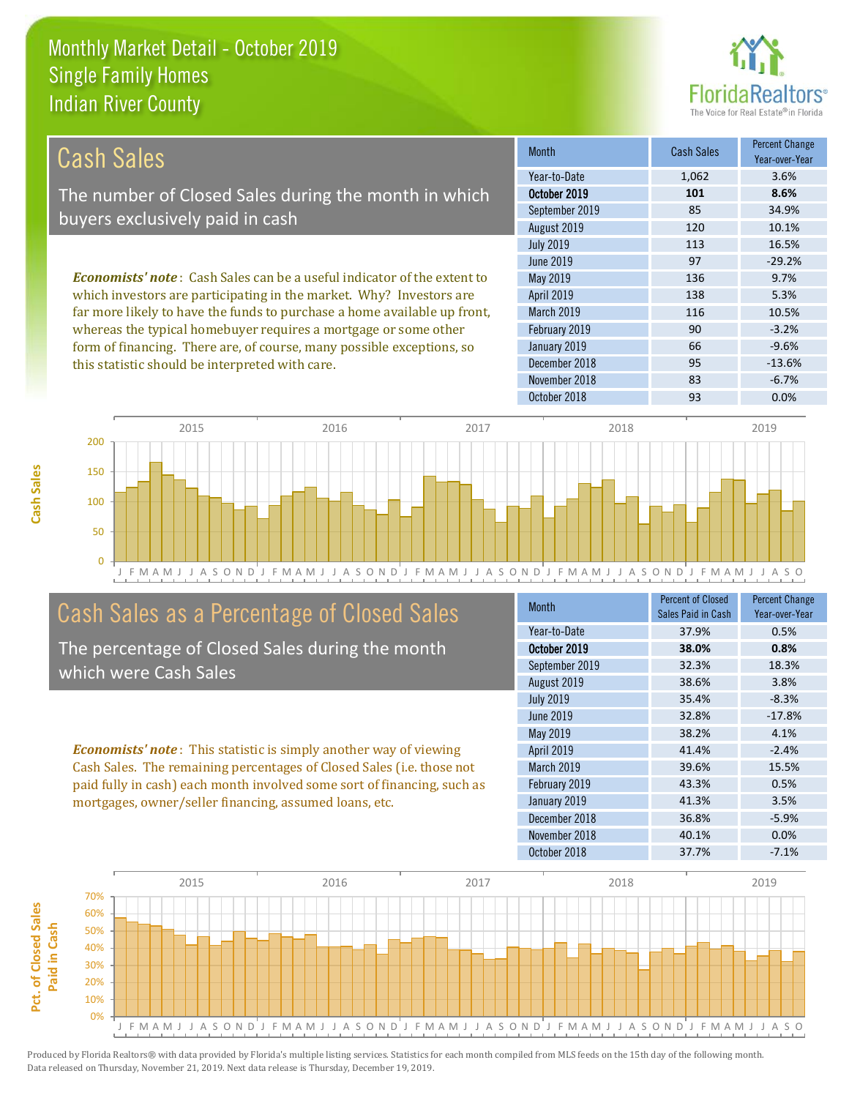

| Cash Sales                                                                     | <b>Month</b>      | <b>Cash Sales</b> | <b>Percent Change</b><br>Year-over-Year |
|--------------------------------------------------------------------------------|-------------------|-------------------|-----------------------------------------|
|                                                                                | Year-to-Date      | 1,062             | 3.6%                                    |
| The number of Closed Sales during the month in which                           | October 2019      | 101               | 8.6%                                    |
| buyers exclusively paid in cash                                                | September 2019    | 85                | 34.9%                                   |
|                                                                                | August 2019       | 120               | 10.1%                                   |
|                                                                                | <b>July 2019</b>  | 113               | 16.5%                                   |
|                                                                                | June 2019         | 97                | $-29.2%$                                |
| <b>Economists' note:</b> Cash Sales can be a useful indicator of the extent to | May 2019          | 136               | 9.7%                                    |
| which investors are participating in the market. Why? Investors are            | <b>April 2019</b> | 138               | 5.3%                                    |
| far more likely to have the funds to purchase a home available up front,       | <b>March 2019</b> | 116               | 10.5%                                   |
| whereas the typical homebuyer requires a mortgage or some other                | February 2019     | 90                | $-3.2%$                                 |
| form of financing. There are, of course, many possible exceptions, so          | January 2019      | 66                | $-9.6%$                                 |
| this statistic should be interpreted with care.                                | December 2018     | 95                | $-13.6%$                                |



## Cash Sales as a Percentage of Closed Sales

The percentage of Closed Sales during the month which were Cash Sales

*Economists' note* : This statistic is simply another way of viewing Cash Sales. The remaining percentages of Closed Sales (i.e. those not paid fully in cash) each month involved some sort of financing, such as mortgages, owner/seller financing, assumed loans, etc.

| <b>Month</b>     | <b>Percent of Closed</b><br>Sales Paid in Cash | <b>Percent Change</b><br>Year-over-Year |
|------------------|------------------------------------------------|-----------------------------------------|
| Year-to-Date     | 37.9%                                          | 0.5%                                    |
| October 2019     | 38.0%                                          | 0.8%                                    |
| September 2019   | 32.3%                                          | 18.3%                                   |
| August 2019      | 38.6%                                          | 3.8%                                    |
| <b>July 2019</b> | 35.4%                                          | $-8.3%$                                 |
| <b>June 2019</b> | 32.8%                                          | $-17.8%$                                |
| May 2019         | 38.2%                                          | 4.1%                                    |
| April 2019       | 41.4%                                          | $-2.4%$                                 |
| March 2019       | 39.6%                                          | 15.5%                                   |
| February 2019    | 43.3%                                          | 0.5%                                    |
| January 2019     | 41.3%                                          | 3.5%                                    |
| December 2018    | 36.8%                                          | $-5.9%$                                 |
| November 2018    | 40.1%                                          | 0.0%                                    |
| October 2018     | 37.7%                                          | $-7.1%$                                 |

November 2018 83 6.7%

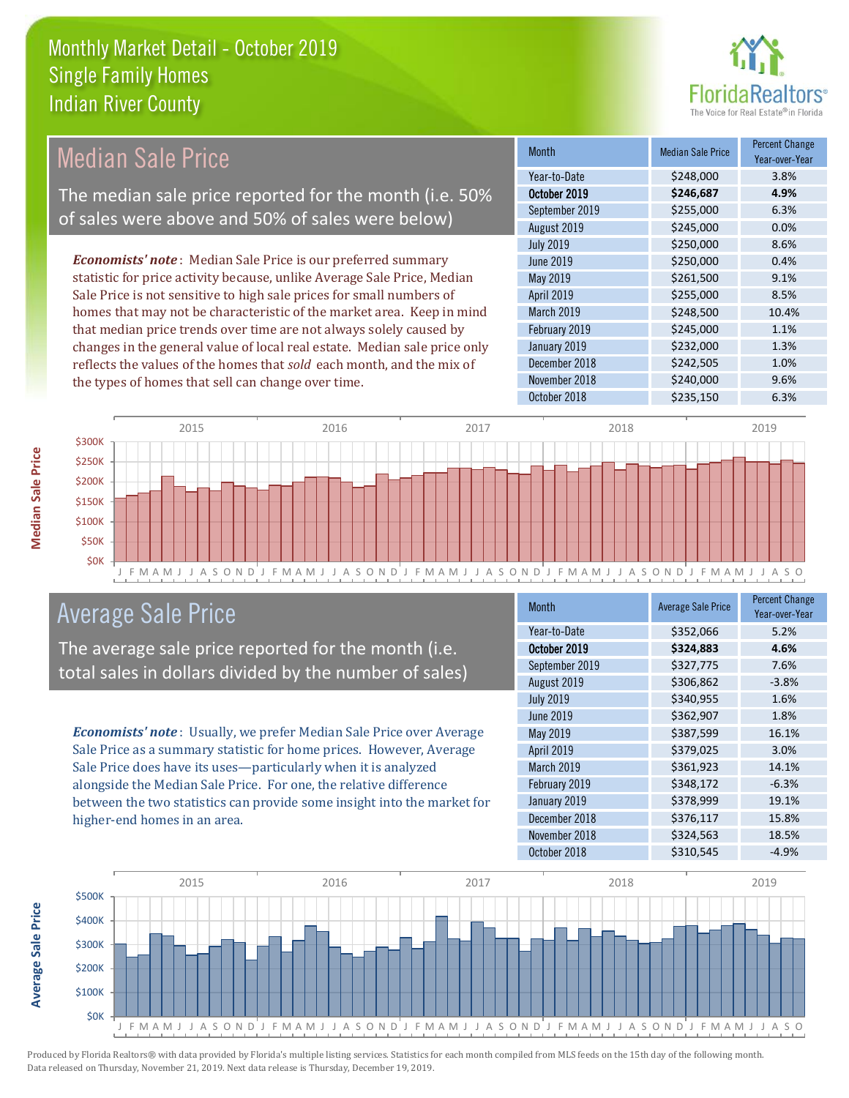

#### Month Median Sale Price Percent Change Year-over-Year October 2019 **\$246,687 4.9%** Year-to-Date \$248,000 3.8% March 2019 \$248,500 10.4% September 2019 \$255,000 6.3% August 2019 **\$245,000 0.0%** May 2019 **\$261,500** \$261,500 9.1% April 2019 \$255,000 \$255,000 July 2019 **\$250,000** \$250,000 8.6% June 2019 **\$250,000 0.4%** February 2019 **\$245,000** 5245,000 1.1% January 2019 **\$232,000** \$234,000 December 2018 **\$242,505** 1.0% November 2018 **\$240,000** 9.6% October 2018 \$235,150 6.3% *Economists' note* : Median Sale Price is our preferred summary statistic for price activity because, unlike Average Sale Price, Median Sale Price is not sensitive to high sale prices for small numbers of homes that may not be characteristic of the market area. Keep in mind that median price trends over time are not always solely caused by changes in the general value of local real estate. Median sale price only reflects the values of the homes that *sold* each month, and the mix of the types of homes that sell can change over time. Median Sale Price The median sale price reported for the month (i.e. 50% of sales were above and 50% of sales were below)



## Average Sale Price

The average sale price reported for the month (i.e. total sales in dollars divided by the number of sales)

*Economists' note* : Usually, we prefer Median Sale Price over Average Sale Price as a summary statistic for home prices. However, Average Sale Price does have its uses—particularly when it is analyzed alongside the Median Sale Price. For one, the relative difference between the two statistics can provide some insight into the market for higher-end homes in an area.

| <b>Month</b>     | <b>Average Sale Price</b> | <b>Percent Change</b><br>Year-over-Year |
|------------------|---------------------------|-----------------------------------------|
| Year-to-Date     | \$352,066                 | 5.2%                                    |
| October 2019     | \$324,883                 | 4.6%                                    |
| September 2019   | \$327,775                 | 7.6%                                    |
| August 2019      | \$306,862                 | $-3.8%$                                 |
| <b>July 2019</b> | \$340,955                 | 1.6%                                    |
| <b>June 2019</b> | \$362,907                 | 1.8%                                    |
| May 2019         | \$387,599                 | 16.1%                                   |
| April 2019       | \$379,025                 | 3.0%                                    |
| March 2019       | \$361,923                 | 14.1%                                   |
| February 2019    | \$348,172                 | $-6.3%$                                 |
| January 2019     | \$378,999                 | 19.1%                                   |
| December 2018    | \$376,117                 | 15.8%                                   |
| November 2018    | \$324,563                 | 18.5%                                   |
| October 2018     | \$310,545                 | $-4.9%$                                 |

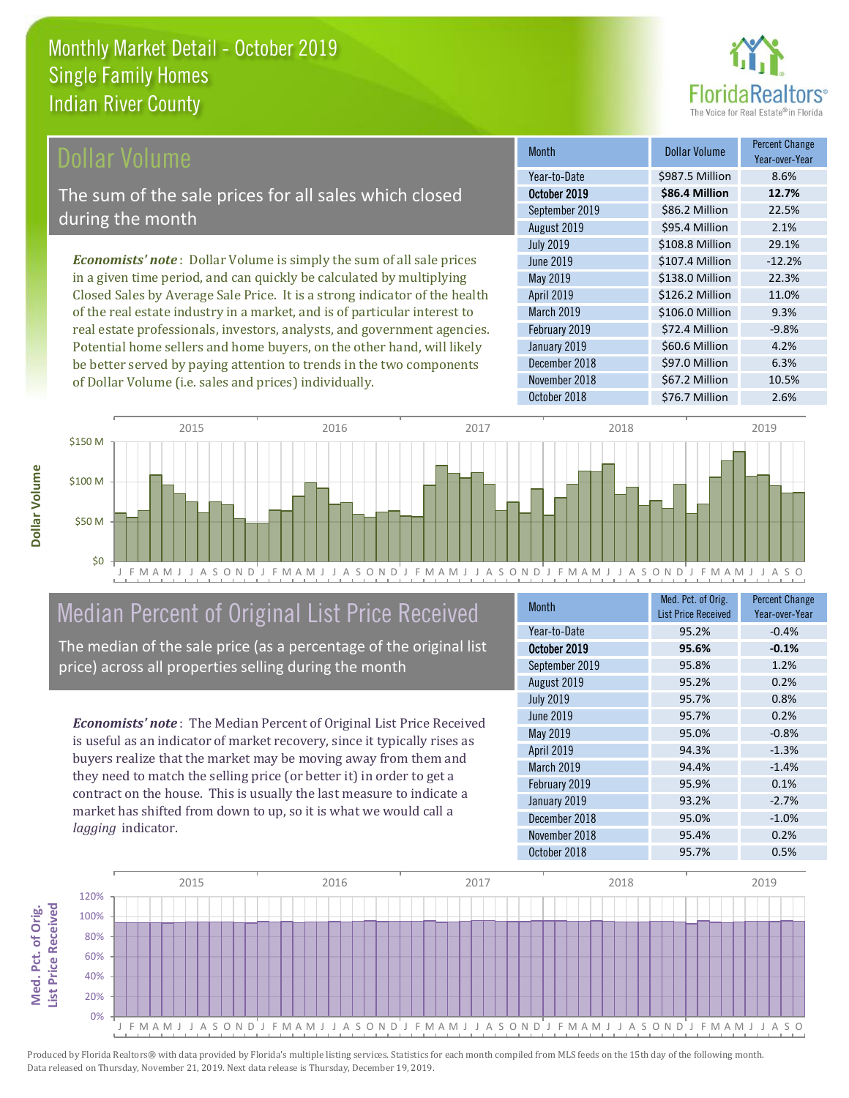

### **Ollar Volume**

The sum of the sale prices for all sales which closed during the month

*Economists' note* : Dollar Volume is simply the sum of all sale prices in a given time period, and can quickly be calculated by multiplying Closed Sales by Average Sale Price. It is a strong indicator of the health of the real estate industry in a market, and is of particular interest to real estate professionals, investors, analysts, and government agencies. Potential home sellers and home buyers, on the other hand, will likely be better served by paying attention to trends in the two components of Dollar Volume (i.e. sales and prices) individually.

| <b>Month</b>     | <b>Dollar Volume</b> | <b>Percent Change</b><br>Year-over-Year |
|------------------|----------------------|-----------------------------------------|
| Year-to-Date     | \$987.5 Million      | 8.6%                                    |
| October 2019     | \$86.4 Million       | 12.7%                                   |
| September 2019   | \$86.2 Million       | 22.5%                                   |
| August 2019      | \$95.4 Million       | 2.1%                                    |
| <b>July 2019</b> | \$108.8 Million      | 29.1%                                   |
| June 2019        | \$107.4 Million      | $-12.2%$                                |
| May 2019         | \$138.0 Million      | 22.3%                                   |
| April 2019       | \$126.2 Million      | 11.0%                                   |
| March 2019       | \$106.0 Million      | 9.3%                                    |
| February 2019    | \$72.4 Million       | $-9.8%$                                 |
| January 2019     | \$60.6 Million       | 4.2%                                    |
| December 2018    | \$97.0 Million       | 6.3%                                    |
| November 2018    | \$67.2 Million       | 10.5%                                   |
| October 2018     | \$76.7 Million       | 2.6%                                    |



## Median Percent of Original List Price Received

The median of the sale price (as a percentage of the original list price) across all properties selling during the month

*Economists' note* : The Median Percent of Original List Price Received is useful as an indicator of market recovery, since it typically rises as buyers realize that the market may be moving away from them and they need to match the selling price (or better it) in order to get a contract on the house. This is usually the last measure to indicate a market has shifted from down to up, so it is what we would call a *lagging* indicator.

| <b>Month</b>     | Med. Pct. of Orig.<br><b>List Price Received</b> | <b>Percent Change</b><br>Year-over-Year |
|------------------|--------------------------------------------------|-----------------------------------------|
| Year-to-Date     | 95.2%                                            | $-0.4%$                                 |
| October 2019     | 95.6%                                            | $-0.1%$                                 |
| September 2019   | 95.8%                                            | 1.2%                                    |
| August 2019      | 95.2%                                            | 0.2%                                    |
| <b>July 2019</b> | 95.7%                                            | 0.8%                                    |
| <b>June 2019</b> | 95.7%                                            | 0.2%                                    |
| <b>May 2019</b>  | 95.0%                                            | $-0.8%$                                 |
| April 2019       | 94.3%                                            | $-1.3%$                                 |
| March 2019       | 94.4%                                            | $-1.4%$                                 |
| February 2019    | 95.9%                                            | 0.1%                                    |
| January 2019     | 93.2%                                            | $-2.7%$                                 |
| December 2018    | 95.0%                                            | $-1.0%$                                 |
| November 2018    | 95.4%                                            | 0.2%                                    |
| October 2018     | 95.7%                                            | 0.5%                                    |

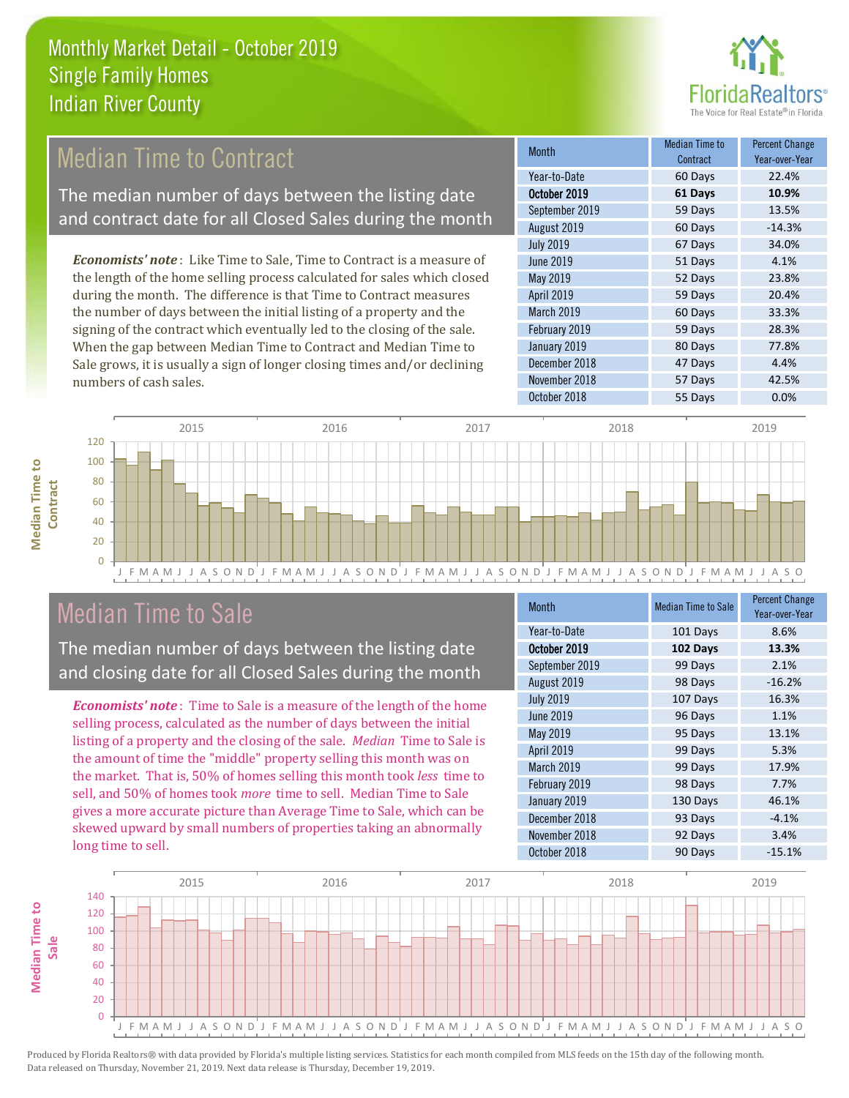

## **Median Time to Contract**

The median number of days between the listing date and contract date for all Closed Sales during the month

*Economists' note* : Like Time to Sale, Time to Contract is a measure of the length of the home selling process calculated for sales which closed during the month. The difference is that Time to Contract measures the number of days between the initial listing of a property and the signing of the contract which eventually led to the closing of the sale. When the gap between Median Time to Contract and Median Time to Sale grows, it is usually a sign of longer closing times and/or declining numbers of cash sales.

| <b>Month</b>     | Median Time to<br>Contract | <b>Percent Change</b><br>Year-over-Year |
|------------------|----------------------------|-----------------------------------------|
| Year-to-Date     | 60 Days                    | 22.4%                                   |
| October 2019     | 61 Days                    | 10.9%                                   |
| September 2019   | 59 Days                    | 13.5%                                   |
| August 2019      | 60 Days                    | $-14.3%$                                |
| <b>July 2019</b> | 67 Days                    | 34.0%                                   |
| <b>June 2019</b> | 51 Days                    | 4.1%                                    |
| May 2019         | 52 Days                    | 23.8%                                   |
| April 2019       | 59 Days                    | 20.4%                                   |
| March 2019       | 60 Days                    | 33.3%                                   |
| February 2019    | 59 Days                    | 28.3%                                   |
| January 2019     | 80 Days                    | 77.8%                                   |
| December 2018    | 47 Days                    | 4.4%                                    |
| November 2018    | 57 Days                    | 42.5%                                   |
| October 2018     | 55 Days                    | 0.0%                                    |



## Median Time to Sale

**Median Time to** 

**Median Time to** 

The median number of days between the listing date and closing date for all Closed Sales during the month

*Economists' note* : Time to Sale is a measure of the length of the home selling process, calculated as the number of days between the initial listing of a property and the closing of the sale. *Median* Time to Sale is the amount of time the "middle" property selling this month was on the market. That is, 50% of homes selling this month took *less* time to sell, and 50% of homes took *more* time to sell. Median Time to Sale gives a more accurate picture than Average Time to Sale, which can be skewed upward by small numbers of properties taking an abnormally long time to sell.

| <b>Month</b>     | <b>Median Time to Sale</b> | <b>Percent Change</b><br>Year-over-Year |
|------------------|----------------------------|-----------------------------------------|
| Year-to-Date     | 101 Days                   | 8.6%                                    |
| October 2019     | 102 Days                   | 13.3%                                   |
| September 2019   | 99 Days                    | 2.1%                                    |
| August 2019      | 98 Days                    | $-16.2%$                                |
| <b>July 2019</b> | 107 Days                   | 16.3%                                   |
| <b>June 2019</b> | 96 Days                    | 1.1%                                    |
| May 2019         | 95 Days                    | 13.1%                                   |
| April 2019       | 99 Days                    | 5.3%                                    |
| March 2019       | 99 Days                    | 17.9%                                   |
| February 2019    | 98 Days                    | 7.7%                                    |
| January 2019     | 130 Days                   | 46.1%                                   |
| December 2018    | 93 Days                    | $-4.1%$                                 |
| November 2018    | 92 Days                    | 3.4%                                    |
| October 2018     | 90 Days                    | $-15.1%$                                |

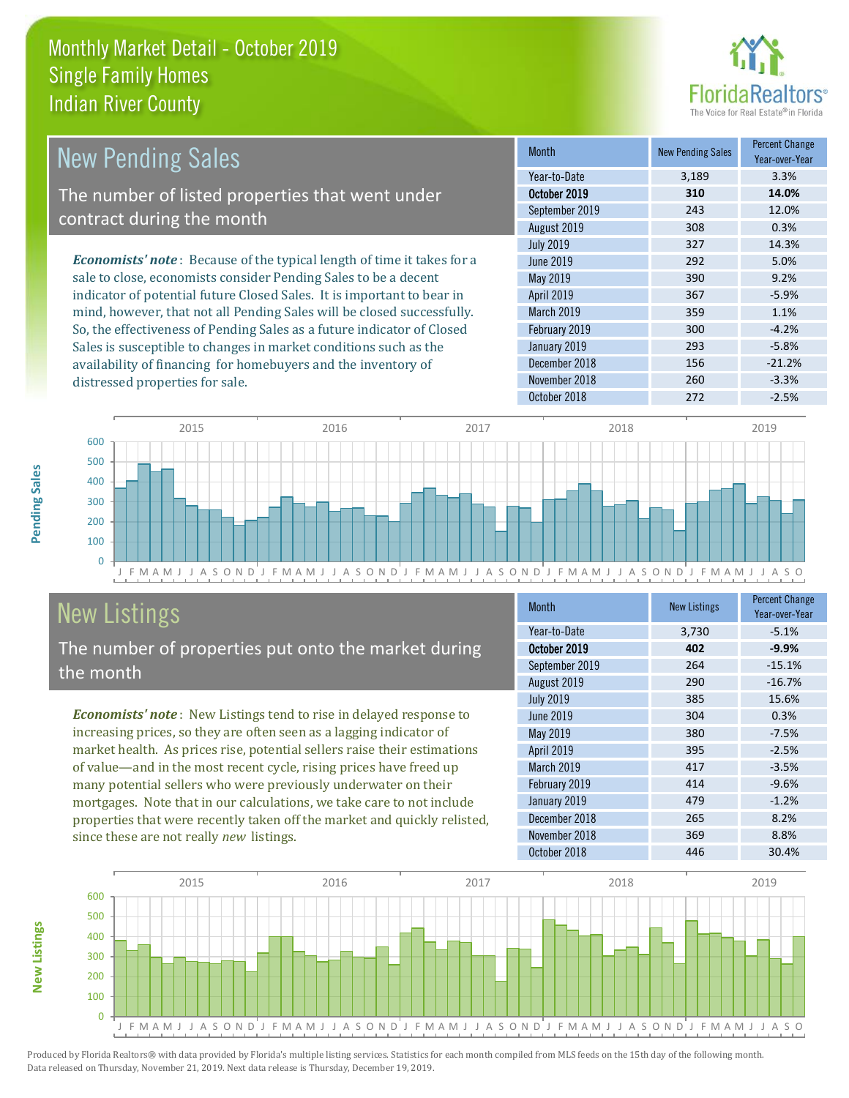

| <b>New Pending Sales</b>                                                      | <b>Month</b>      | <b>New Pending Sales</b> | <b>Percent Change</b><br>Year-over-Year |
|-------------------------------------------------------------------------------|-------------------|--------------------------|-----------------------------------------|
|                                                                               | Year-to-Date      | 3,189                    | 3.3%                                    |
| The number of listed properties that went under                               | October 2019      | 310                      | 14.0%                                   |
| contract during the month                                                     | September 2019    | 243                      | 12.0%                                   |
|                                                                               | August 2019       | 308                      | 0.3%                                    |
|                                                                               | <b>July 2019</b>  | 327                      | 14.3%                                   |
| <b>Economists' note:</b> Because of the typical length of time it takes for a | June 2019         | 292                      | 5.0%                                    |
| sale to close, economists consider Pending Sales to be a decent               | May 2019          | 390                      | 9.2%                                    |
| indicator of potential future Closed Sales. It is important to bear in        | <b>April 2019</b> | 367                      | $-5.9%$                                 |
| mind, however, that not all Pending Sales will be closed successfully.        | <b>March 2019</b> | 359                      | 1.1%                                    |
| So, the effectiveness of Pending Sales as a future indicator of Closed        | February 2019     | 300                      | $-4.2%$                                 |
| Sales is susceptible to changes in market conditions such as the              | January 2019      | 293                      | $-5.8%$                                 |
| availability of financing for homebuyers and the inventory of                 | December 2018     | 156                      | $-21.2%$                                |



# New Listings

distressed properties for sale.

The number of properties put onto the market during the month

availability of financing for homebuyers and the inventory of

*Economists' note* : New Listings tend to rise in delayed response to increasing prices, so they are often seen as a lagging indicator of market health. As prices rise, potential sellers raise their estimations of value—and in the most recent cycle, rising prices have freed up many potential sellers who were previously underwater on their mortgages. Note that in our calculations, we take care to not include properties that were recently taken off the market and quickly relisted, since these are not really *new* listings.

| <b>Month</b>     | <b>New Listings</b> | <b>Percent Change</b><br>Year-over-Year |
|------------------|---------------------|-----------------------------------------|
| Year-to-Date     | 3,730               | $-5.1%$                                 |
| October 2019     | 402                 | $-9.9%$                                 |
| September 2019   | 264                 | $-15.1%$                                |
| August 2019      | 290                 | $-16.7%$                                |
| <b>July 2019</b> | 385                 | 15.6%                                   |
| <b>June 2019</b> | 304                 | 0.3%                                    |
| May 2019         | 380                 | $-7.5%$                                 |
| April 2019       | 395                 | $-2.5%$                                 |
| March 2019       | 417                 | $-3.5%$                                 |
| February 2019    | 414                 | $-9.6%$                                 |
| January 2019     | 479                 | $-1.2%$                                 |
| December 2018    | 265                 | 8.2%                                    |
| November 2018    | 369                 | 8.8%                                    |
| October 2018     | 446                 | 30.4%                                   |

November 2018 260 260 -3.3%



Produced by Florida Realtors® with data provided by Florida's multiple listing services. Statistics for each month compiled from MLS feeds on the 15th day of the following month. Data released on Thursday, November 21, 2019. Next data release is Thursday, December 19, 2019.

**New Listings**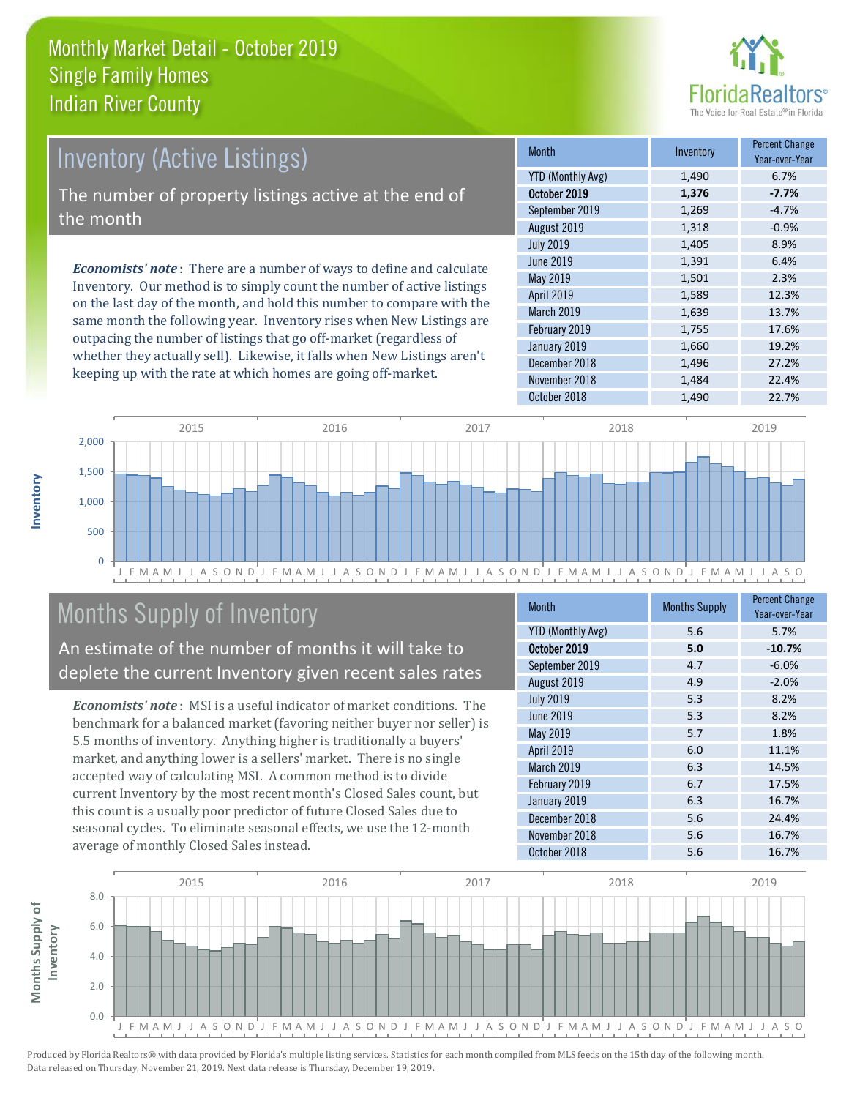

## *Economists' note* : There are a number of ways to define and calculate Inventory. Our method is to simply count the number of active listings Inventory (Active Listings) The number of property listings active at the end of the month

on the last day of the month, and hold this number to compare with the same month the following year. Inventory rises when New Listings are outpacing the number of listings that go off-market (regardless of whether they actually sell). Likewise, it falls when New Listings aren't keeping up with the rate at which homes are going off-market.

| <b>Month</b>             | Inventory | <b>Percent Change</b><br>Year-over-Year |
|--------------------------|-----------|-----------------------------------------|
| <b>YTD (Monthly Avg)</b> | 1,490     | 6.7%                                    |
| October 2019             | 1,376     | $-7.7%$                                 |
| September 2019           | 1,269     | $-4.7%$                                 |
| August 2019              | 1,318     | $-0.9%$                                 |
| <b>July 2019</b>         | 1,405     | 8.9%                                    |
| <b>June 2019</b>         | 1,391     | 6.4%                                    |
| May 2019                 | 1,501     | 2.3%                                    |
| April 2019               | 1,589     | 12.3%                                   |
| March 2019               | 1,639     | 13.7%                                   |
| February 2019            | 1,755     | 17.6%                                   |
| January 2019             | 1,660     | 19.2%                                   |
| December 2018            | 1,496     | 27.2%                                   |
| November 2018            | 1,484     | 22.4%                                   |
| October 2018             | 1,490     | 22.7%                                   |



## Months Supply of Inventory

An estimate of the number of months it will take to deplete the current Inventory given recent sales rates

*Economists' note* : MSI is a useful indicator of market conditions. The benchmark for a balanced market (favoring neither buyer nor seller) is 5.5 months of inventory. Anything higher is traditionally a buyers' market, and anything lower is a sellers' market. There is no single accepted way of calculating MSI. A common method is to divide current Inventory by the most recent month's Closed Sales count, but this count is a usually poor predictor of future Closed Sales due to seasonal cycles. To eliminate seasonal effects, we use the 12-month average of monthly Closed Sales instead.

| <b>Month</b>             | <b>Months Supply</b> | <b>Percent Change</b><br>Year-over-Year |
|--------------------------|----------------------|-----------------------------------------|
| <b>YTD (Monthly Avg)</b> | 5.6                  | 5.7%                                    |
| October 2019             | 5.0                  | $-10.7%$                                |
| September 2019           | 4.7                  | $-6.0%$                                 |
| August 2019              | 4.9                  | $-2.0%$                                 |
| <b>July 2019</b>         | 5.3                  | 8.2%                                    |
| <b>June 2019</b>         | 5.3                  | 8.2%                                    |
| <b>May 2019</b>          | 5.7                  | 1.8%                                    |
| April 2019               | 6.0                  | 11.1%                                   |
| March 2019               | 6.3                  | 14.5%                                   |
| February 2019            | 6.7                  | 17.5%                                   |
| January 2019             | 6.3                  | 16.7%                                   |
| December 2018            | 5.6                  | 24.4%                                   |
| November 2018            | 5.6                  | 16.7%                                   |
| October 2018             | 5.6                  | 16.7%                                   |

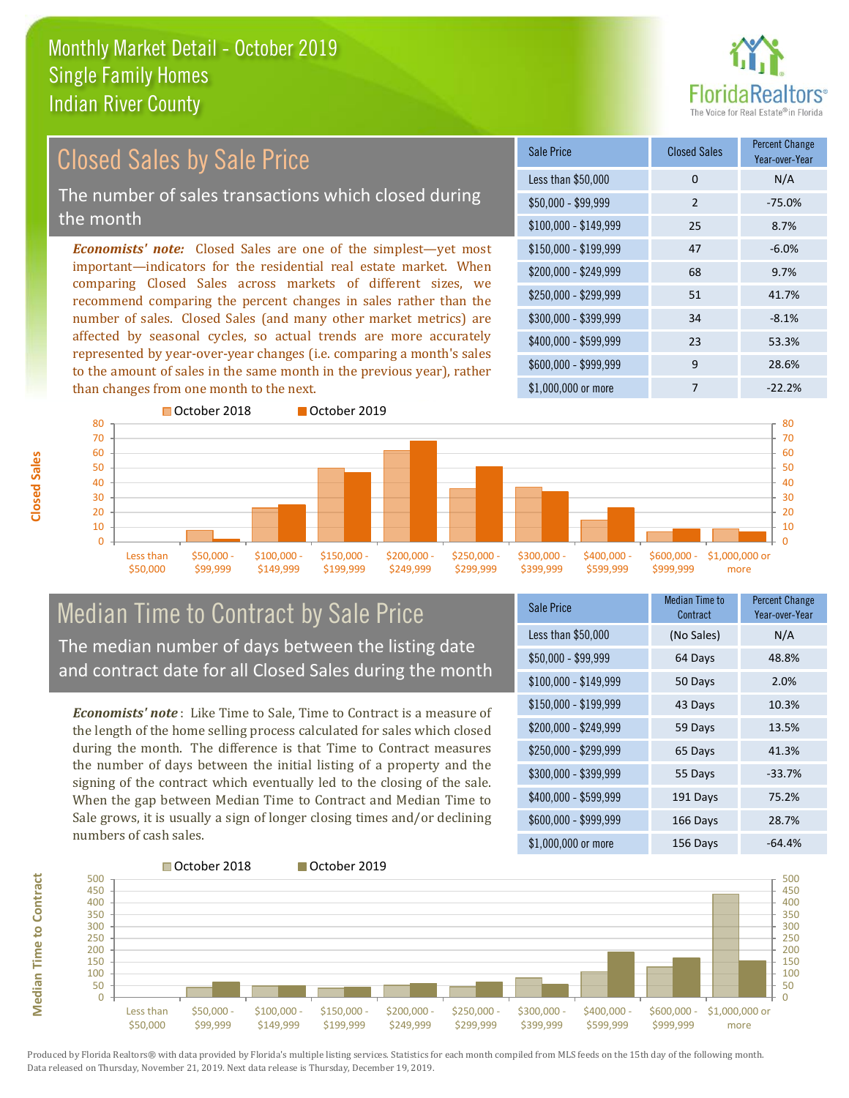

#### *Economists' note:* Closed Sales are one of the simplest—yet most important—indicators for the residential real estate market. When comparing Closed Sales across markets of different sizes, we recommend comparing the percent changes in sales rather than the number of sales. Closed Sales (and many other market metrics) are affected by seasonal cycles, so actual trends are more accurately represented by year-over-year changes (i.e. comparing a month's sales to the amount of sales in the same month in the previous year), rather than changes from one month to the next. \$1,000,000 or more 7 7 -22.2% \$250,000 - \$299,999 51 41.7%  $$300,000 - $399,999$  34 -8.1% \$400,000 - \$599,999 23 53.3% \$600,000 - \$999,999 9 28.6% \$150,000 - \$199,999 47 -6.0% \$200,000 - \$249,999 68 9.7% \$100,000 - \$149,999 25 8.7% Sale Price Closed Sales Percent Change Year-over-Year Less than \$50,000 0 0 N/A \$50,000 - \$99,999 2 -75.0% Closed Sales by Sale Price The number of sales transactions which closed during the month



### Median Time to Contract by Sale Price The median number of days between the listing date and contract date for all Closed Sales during the month

*Economists' note* : Like Time to Sale, Time to Contract is a measure of the length of the home selling process calculated for sales which closed during the month. The difference is that Time to Contract measures the number of days between the initial listing of a property and the signing of the contract which eventually led to the closing of the sale. When the gap between Median Time to Contract and Median Time to Sale grows, it is usually a sign of longer closing times and/or declining numbers of cash sales.

| <b>Sale Price</b>     | Median Time to<br>Contract | <b>Percent Change</b><br>Year-over-Year |
|-----------------------|----------------------------|-----------------------------------------|
| Less than \$50,000    | (No Sales)                 | N/A                                     |
| $$50,000 - $99,999$   | 64 Days                    | 48.8%                                   |
| $$100,000 - $149,999$ | 50 Days                    | 2.0%                                    |
| $$150,000 - $199,999$ | 43 Days                    | 10.3%                                   |
| \$200,000 - \$249,999 | 59 Days                    | 13.5%                                   |
| \$250,000 - \$299,999 | 65 Days                    | 41.3%                                   |
| \$300,000 - \$399,999 | 55 Days                    | $-33.7%$                                |
| \$400,000 - \$599,999 | 191 Days                   | 75.2%                                   |
| \$600,000 - \$999,999 | 166 Days                   | 28.7%                                   |
| \$1,000,000 or more   | 156 Days                   | $-64.4%$                                |

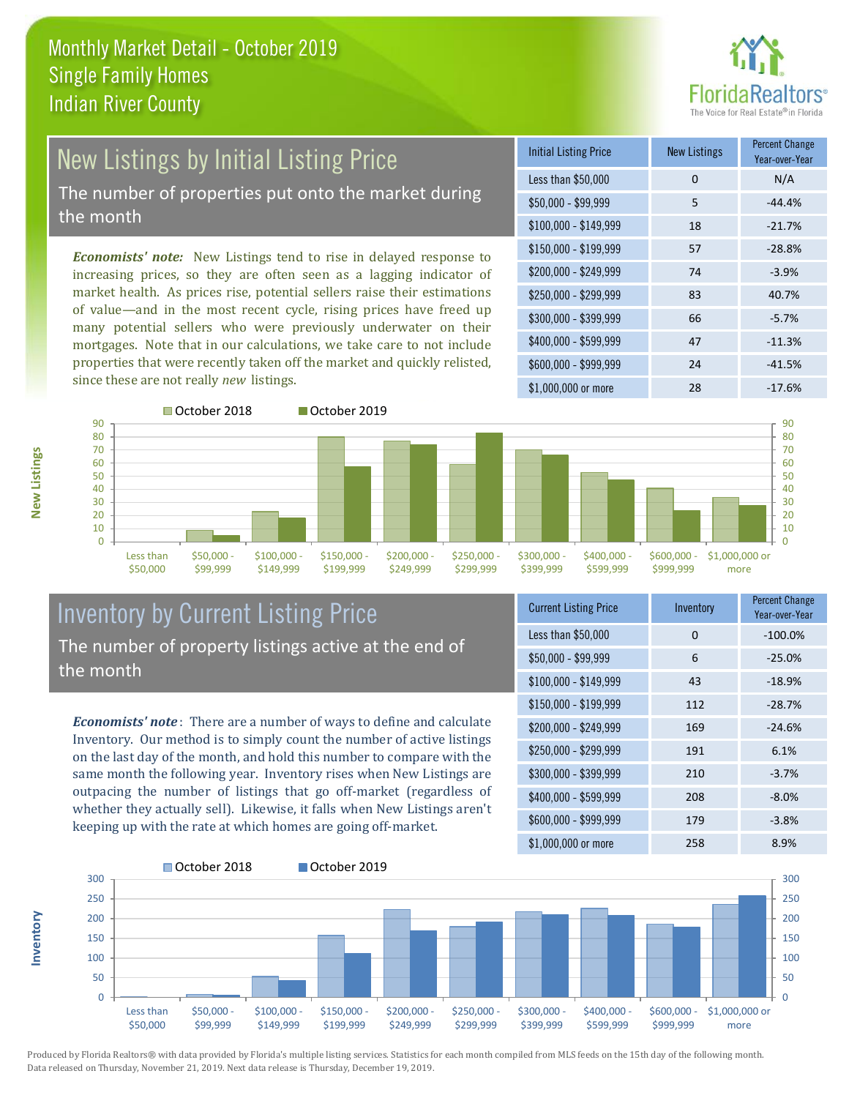

# New Listings by Initial Listing Price The number of properties put onto the market during

the month

\$50,000

*Economists' note:* New Listings tend to rise in delayed response to increasing prices, so they are often seen as a lagging indicator of market health. As prices rise, potential sellers raise their estimations of value—and in the most recent cycle, rising prices have freed up many potential sellers who were previously underwater on their mortgages. Note that in our calculations, we take care to not include properties that were recently taken off the market and quickly relisted, since these are not really *new* listings.

| <b>Initial Listing Price</b> | <b>New Listings</b> | <b>Percent Change</b><br>Year-over-Year |
|------------------------------|---------------------|-----------------------------------------|
| Less than \$50,000           | 0                   | N/A                                     |
| $$50,000 - $99,999$          | 5                   | $-44.4%$                                |
| $$100,000 - $149,999$        | 18                  | $-21.7%$                                |
| $$150,000 - $199,999$        | 57                  | $-28.8%$                                |
| \$200,000 - \$249,999        | 74                  | $-3.9%$                                 |
| $$250,000 - $299,999$        | 83                  | 40.7%                                   |
| \$300,000 - \$399,999        | 66                  | $-5.7%$                                 |
| \$400,000 - \$599,999        | 47                  | $-11.3%$                                |
| \$600,000 - \$999,999        | 24                  | $-41.5%$                                |
| $$1,000,000$ or more         | 28                  | $-17.6%$                                |



\$99,999



#### Inventory by Current Listing Price The number of property listings active at the end of the month

\$149,999

\$199,999

\$249,999

*Economists' note* : There are a number of ways to define and calculate Inventory. Our method is to simply count the number of active listings on the last day of the month, and hold this number to compare with the same month the following year. Inventory rises when New Listings are outpacing the number of listings that go off-market (regardless of whether they actually sell). Likewise, it falls when New Listings aren't keeping up with the rate at which homes are going off-market.

| <b>Current Listing Price</b> | Inventory | <b>Percent Change</b><br>Year-over-Year |
|------------------------------|-----------|-----------------------------------------|
| Less than \$50,000           | 0         | $-100.0%$                               |
| \$50,000 - \$99,999          | 6         | $-25.0%$                                |
| $$100,000 - $149,999$        | 43        | $-18.9%$                                |
| $$150,000 - $199,999$        | 112       | $-28.7%$                                |
| \$200,000 - \$249,999        | 169       | $-24.6%$                                |
| \$250,000 - \$299,999        | 191       | 6.1%                                    |
| $$300,000 - $399,999$        | 210       | $-3.7%$                                 |
| \$400,000 - \$599,999        | 208       | $-8.0%$                                 |
| \$600,000 - \$999,999        | 179       | $-3.8%$                                 |
| \$1,000,000 or more          | 258       | 8.9%                                    |



Produced by Florida Realtors® with data provided by Florida's multiple listing services. Statistics for each month compiled from MLS feeds on the 15th day of the following month. Data released on Thursday, November 21, 2019. Next data release is Thursday, December 19, 2019.

**Inventory**